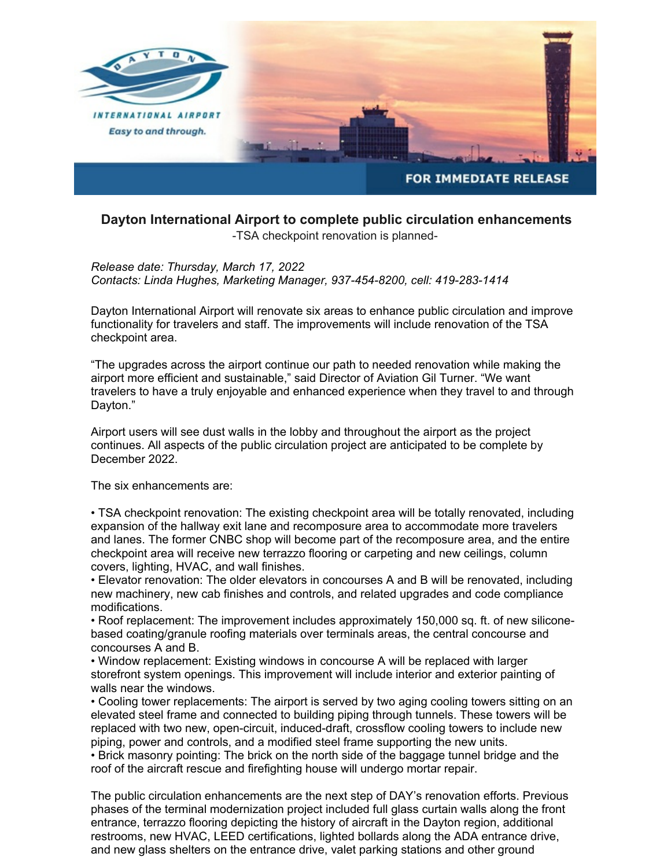

## **Dayton International Airport to complete public circulation enhancements** -TSA checkpoint renovation is planned-

*Release date: Thursday, March 17, 2022 Contacts: Linda Hughes, Marketing Manager, 937-454-8200, cell: 419-283-1414*

Dayton International Airport will renovate six areas to enhance public circulation and improve functionality for travelers and staff. The improvements will include renovation of the TSA checkpoint area.

"The upgrades across the airport continue our path to needed renovation while making the airport more efficient and sustainable," said Director of Aviation Gil Turner. "We want travelers to have a truly enjoyable and enhanced experience when they travel to and through Dayton."

Airport users will see dust walls in the lobby and throughout the airport as the project continues. All aspects of the public circulation project are anticipated to be complete by December 2022.

The six enhancements are:

• TSA checkpoint renovation: The existing checkpoint area will be totally renovated, including expansion of the hallway exit lane and recomposure area to accommodate more travelers and lanes. The former CNBC shop will become part of the recomposure area, and the entire checkpoint area will receive new terrazzo flooring or carpeting and new ceilings, column covers, lighting, HVAC, and wall finishes.

• Elevator renovation: The older elevators in concourses A and B will be renovated, including new machinery, new cab finishes and controls, and related upgrades and code compliance modifications.

• Roof replacement: The improvement includes approximately 150,000 sq. ft. of new siliconebased coating/granule roofing materials over terminals areas, the central concourse and concourses A and B.

• Window replacement: Existing windows in concourse A will be replaced with larger storefront system openings. This improvement will include interior and exterior painting of walls near the windows.

• Cooling tower replacements: The airport is served by two aging cooling towers sitting on an elevated steel frame and connected to building piping through tunnels. These towers will be replaced with two new, open-circuit, induced-draft, crossflow cooling towers to include new piping, power and controls, and a modified steel frame supporting the new units.

• Brick masonry pointing: The brick on the north side of the baggage tunnel bridge and the roof of the aircraft rescue and firefighting house will undergo mortar repair.

The public circulation enhancements are the next step of DAY's renovation efforts. Previous phases of the terminal modernization project included full glass curtain walls along the front entrance, terrazzo flooring depicting the history of aircraft in the Dayton region, additional restrooms, new HVAC, LEED certifications, lighted bollards along the ADA entrance drive, and new glass shelters on the entrance drive, valet parking stations and other ground